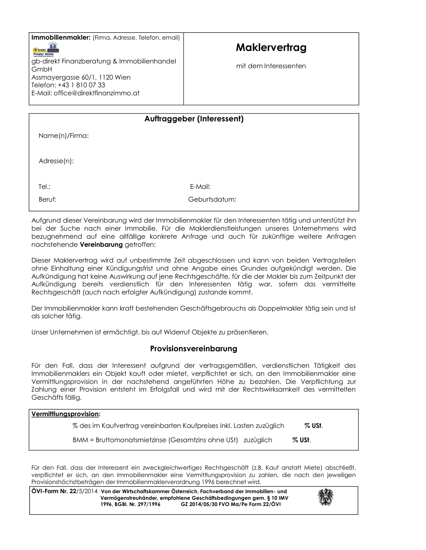Immobilienmakler: (Firma, Adresse, Telefon, email)



## Maklervertrag

mit dem Interessenten

| <b>Auftraggeber (Interessent)</b> |               |  |
|-----------------------------------|---------------|--|
|                                   |               |  |
| Name(n)/Firma:                    |               |  |
|                                   |               |  |
|                                   |               |  |
| Adresse(n):                       |               |  |
|                                   |               |  |
|                                   |               |  |
| Tel.:                             | E-Mail:       |  |
|                                   |               |  |
| Beruf:                            | Geburtsdatum: |  |
|                                   |               |  |

Aufgrund dieser Vereinbarung wird der Immobilienmakler für den Interessenten tätig und unterstützt ihn bei der Suche nach einer Immobilie. Für die Maklerdienstleistungen unseres Unternehmens wird bezugnehmend auf eine allfällige konkrete Anfrage und auch für zukünftige weitere Anfragen nachstehende Vereinbarung getroffen:

Dieser Maklervertrag wird auf unbestimmte Zeit abgeschlossen und kann von beiden Vertragsteilen ohne Einhaltung einer Kündigungsfrist und ohne Angabe eines Grundes aufgekündigt werden. Die Aufkündigung hat keine Auswirkung auf jene Rechtsgeschäfte, für die der Makler bis zum Zeitpunkt der Aufkündigung bereits verdienstlich für den Interessenten tätig war, sofern das vermittelte Rechtsgeschäft (auch nach erfolgter Aufkündigung) zustande kommt.

Der Immobilienmakler kann kraft bestehenden Geschäftsgebrauchs als Doppelmakler tätig sein und ist als solcher tätig.

Unser Unternehmen ist ermächtigt, bis auf Widerruf Objekte zu präsentieren.

## Provisionsvereinbarung

Für den Fall, dass der Interessent aufgrund der vertragsgemäßen, verdienstlichen Tätigkeit des Immobilienmaklers ein Objekt kauft oder mietet, verpflichtet er sich, an den Immobilienmakler eine Vermittlungsprovision in der nachstehend angeführten Höhe zu bezahlen. Die Verpflichtung zur Zahlung einer Provision entsteht im Erfolgsfall und wird mit der Rechtswirksamkeit des vermittelten Geschäfts fällig.

| Vermittlungsprovision:                                               |           |  |
|----------------------------------------------------------------------|-----------|--|
| % des im Kaufvertrag vereinbarten Kaufpreises inkl. Lasten zuzüglich | % USt.    |  |
| BMM = Bruttomonatsmietzinse (Gesamtzins ohne USt) zuzüglich          | $\%$ USt. |  |

Für den Fall, dass der Interessent ein zweckgleichwertiges Rechtsgeschäft (z.B. Kauf anstatt Miete) abschließt, verpflichtet er sich, an den Immobilienmakler eine Vermittlungsprovision zu zahlen, die nach den jeweiligen Provisionshöchstbeträgen der Immobilienmaklerverordnung 1996 berechnet wird.

ÖVI-Form Nr. 22/5/2014 Von der Wirtschaftskammer Österreich, Fachverband der Immobilien- und Vermögenstreuhänder, empfohlene Geschäftsbedingungen gem. § 10 IMV 1996, BGBI. Nr. 297/1996 GZ 2014/05/30 FVO Ma/Pe Form 22/ÖVI